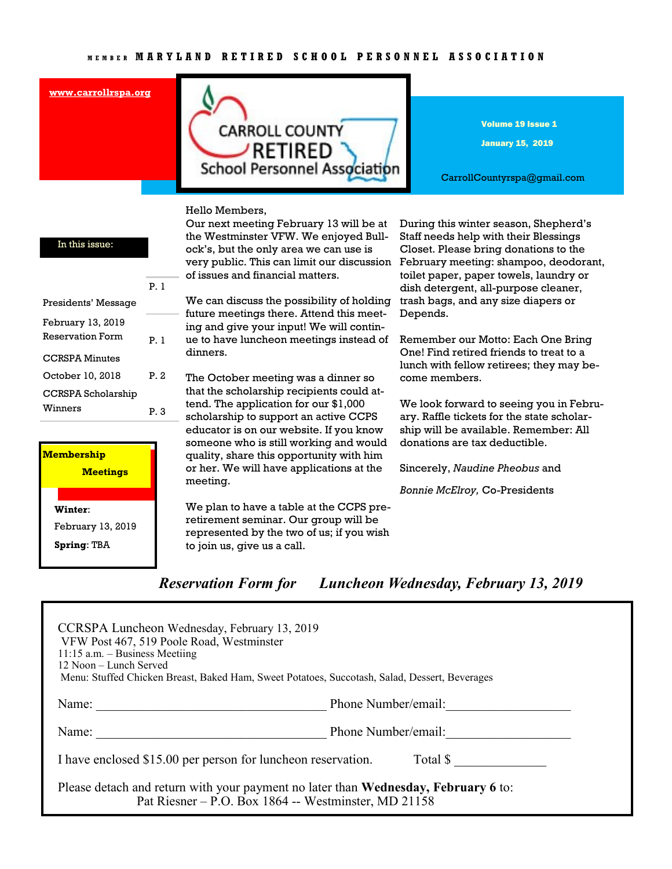#### **[www.carrollrspa.org](http://www.carrollrspa.org/)**



Volume 19 Issue 1

January 15, 2019

CarrollCountyrspa@gmail.com

#### Hello Members,

|                         | P.I  |
|-------------------------|------|
| Presidents' Message     |      |
| February 13, 2019       |      |
| <b>Reservation Form</b> | P.I  |
| CCRSPA Minutes          |      |
| October 10, 2018        | P. 2 |
| CCRSPA Scholarship      |      |
| Winners                 | P. 3 |
|                         |      |
|                         |      |

In this issue:

| <b>Membership</b>  |  |
|--------------------|--|
| <b>Meetings</b>    |  |
|                    |  |
| Winter:            |  |
| February 13, 2019  |  |
| <b>Spring: TBA</b> |  |

Our next meeting February 13 will be at the Westminster VFW. We enjoyed Bullock's, but the only area we can use is very public. This can limit our discussion February meeting: shampoo, deodorant, of issues and financial matters.

We can discuss the possibility of holding future meetings there. Attend this meeting and give your input! We will continue to have luncheon meetings instead of dinners.

The October meeting was a dinner so that the scholarship recipients could attend. The application for our \$1,000 scholarship to support an active CCPS educator is on our website. If you know someone who is still working and would quality, share this opportunity with him or her. We will have applications at the meeting.

We plan to have a table at the CCPS preretirement seminar. Our group will be represented by the two of us; if you wish to join us, give us a call.

During this winter season, Shepherd's Staff needs help with their Blessings Closet. Please bring donations to the toilet paper, paper towels, laundry or dish detergent, all-purpose cleaner, trash bags, and any size diapers or Depends.

Remember our Motto: Each One Bring One! Find retired friends to treat to a lunch with fellow retirees; they may become members.

We look forward to seeing you in February. Raffle tickets for the state scholarship will be available. Remember: All donations are tax deductible.

Sincerely, *Naudine Pheobus* and

*Bonnie McElroy,* Co-Presidents

*Reservation Form for Luncheon Wednesday, February 13, 2019*

| CCRSPA Luncheon Wednesday, February 13, 2019<br>VFW Post 467, 519 Poole Road, Westminster<br>$11:15$ a.m. - Business Meetiing<br>12 Noon – Lunch Served<br>Menu: Stuffed Chicken Breast, Baked Ham, Sweet Potatoes, Succotash, Salad, Dessert, Beverages |                     |  |  |
|----------------------------------------------------------------------------------------------------------------------------------------------------------------------------------------------------------------------------------------------------------|---------------------|--|--|
| Name:<br><u> 1990 - Johann John Stein, markin f</u>                                                                                                                                                                                                      | Phone Number/email: |  |  |
| Name:                                                                                                                                                                                                                                                    | Phone Number/email: |  |  |
| I have enclosed \$15.00 per person for luncheon reservation.<br>Total \$                                                                                                                                                                                 |                     |  |  |
| Please detach and return with your payment no later than <b>Wednesday</b> , February 6 to:<br>Pat Riesner – P.O. Box 1864 -- Westminster, MD 21158                                                                                                       |                     |  |  |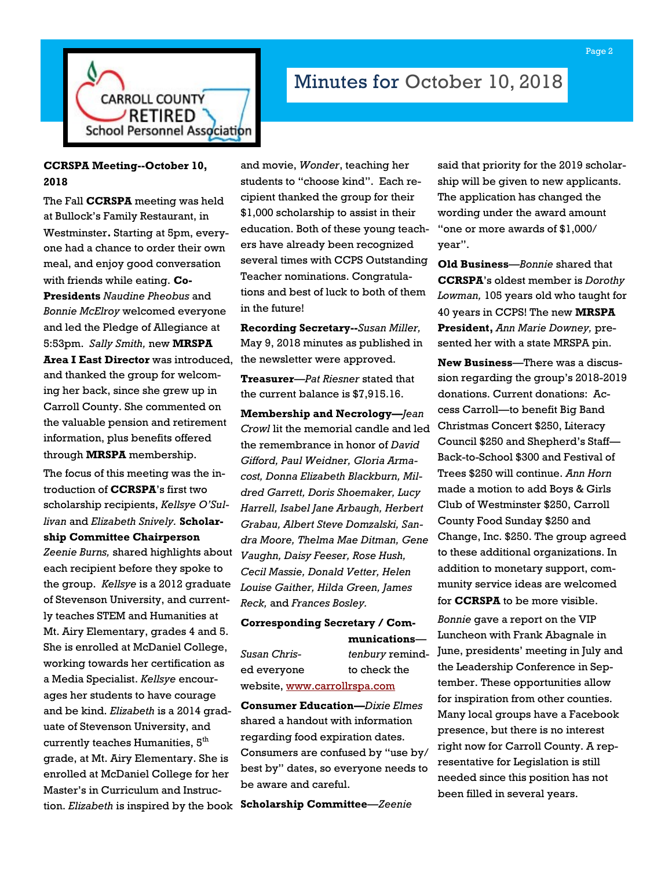

# Minutes for October 10, 2018

## **CCRSPA Meeting--October 10, 2018**

The Fall **CCRSPA** meeting was held at Bullock's Family Restaurant, in Westminster**.** Starting at 5pm, everyone had a chance to order their own meal, and enjoy good conversation with friends while eating. **Co-Presidents** *Naudine Pheobus* and *Bonnie McElroy* welcomed everyone and led the Pledge of Allegiance at 5:53pm. *Sally Smith,* new **MRSPA Area I East Director** was introduced, and thanked the group for welcoming her back, since she grew up in Carroll County. She commented on the valuable pension and retirement information, plus benefits offered through **MRSPA** membership.

The focus of this meeting was the introduction of **CCRSPA**'s first two scholarship recipients, *Kellsye O'Sullivan* and *Elizabeth Snively.* **Scholarship Committee Chairperson** 

*Zeenie Burns,* shared highlights about each recipient before they spoke to the group. *Kellsye* is a 2012 graduate of Stevenson University, and currently teaches STEM and Humanities at Mt. Airy Elementary, grades 4 and 5. She is enrolled at McDaniel College, working towards her certification as a Media Specialist. *Kellsye* encourages her students to have courage and be kind. *Elizabeth* is a 2014 graduate of Stevenson University, and currently teaches Humanities,  $5<sup>th</sup>$ grade, at Mt. Airy Elementary. She is enrolled at McDaniel College for her Master's in Curriculum and Instruction. *Elizabeth* is inspired by the book

and movie, *Wonder*, teaching her students to "choose kind". Each recipient thanked the group for their \$1,000 scholarship to assist in their education. Both of these young teachers have already been recognized several times with CCPS Outstanding Teacher nominations. Congratulations and best of luck to both of them in the future!

**Recording Secretary--***Susan Miller,*  May 9, 2018 minutes as published in the newsletter were approved.

**Treasurer**—*Pat Riesner* stated that the current balance is \$7,915.16.

**Membership and Necrology—***Jean Crowl* lit the memorial candle and led the remembrance in honor of *David Gifford, Paul Weidner, Gloria Armacost, Donna Elizabeth Blackburn, Mildred Garrett, Doris Shoemaker, Lucy Harrell, Isabel Jane Arbaugh, Herbert Grabau, Albert Steve Domzalski, Sandra Moore, Thelma Mae Ditman, Gene Vaughn, Daisy Feeser, Rose Hush, Cecil Massie, Donald Vetter, Helen Louise Gaither, Hilda Green, James Reck,* and *Frances Bosley.*

### **Corresponding Secretary / Communications**—

*Susan Chris- tenbury* reminded everyone to check the website, [www.carrollrspa.com](http://www.carrollrspa.com)

**Consumer Education—***Dixie Elmes* shared a handout with information regarding food expiration dates. Consumers are confused by "use by/ best by" dates, so everyone needs to be aware and careful.

**Scholarship Committee**—*Zeenie* 

said that priority for the 2019 scholarship will be given to new applicants. The application has changed the wording under the award amount "one or more awards of \$1,000/ year".

**Old Business**—*Bonnie* shared that **CCRSPA**'s oldest member is *Dorothy Lowman,* 105 years old who taught for 40 years in CCPS! The new **MRSPA President,** *Ann Marie Downey,* presented her with a state MRSPA pin.

**New Business**—There was a discussion regarding the group's 2018-2019 donations. Current donations: Access Carroll—to benefit Big Band Christmas Concert \$250, Literacy Council \$250 and Shepherd's Staff— Back-to-School \$300 and Festival of Trees \$250 will continue. *Ann Horn* made a motion to add Boys & Girls Club of Westminster \$250, Carroll County Food Sunday \$250 and Change, Inc. \$250. The group agreed to these additional organizations. In addition to monetary support, community service ideas are welcomed for **CCRSPA** to be more visible.

*Bonnie* gave a report on the VIP Luncheon with Frank Abagnale in June, presidents' meeting in July and the Leadership Conference in September. These opportunities allow for inspiration from other counties. Many local groups have a Facebook presence, but there is no interest right now for Carroll County. A representative for Legislation is still needed since this position has not been filled in several years.